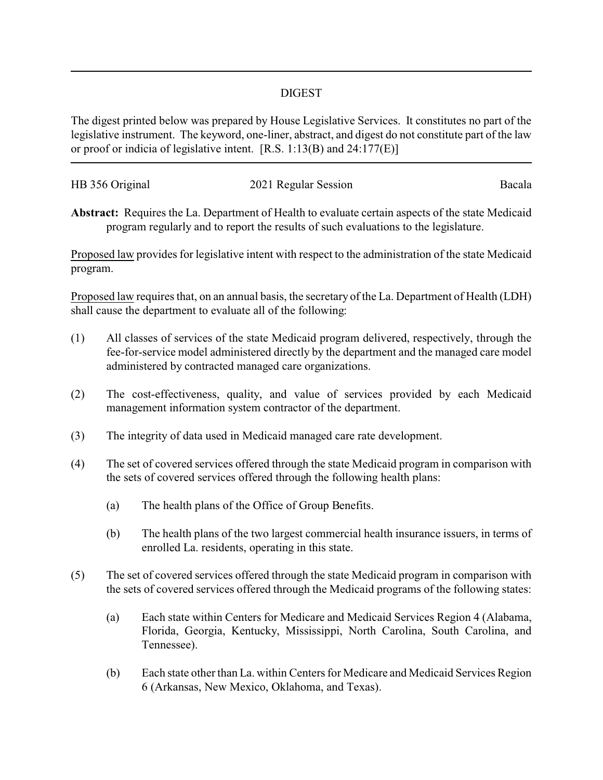## DIGEST

The digest printed below was prepared by House Legislative Services. It constitutes no part of the legislative instrument. The keyword, one-liner, abstract, and digest do not constitute part of the law or proof or indicia of legislative intent. [R.S. 1:13(B) and 24:177(E)]

| HB 356 Original | 2021 Regular Session | Bacala |
|-----------------|----------------------|--------|
|                 |                      |        |

**Abstract:** Requires the La. Department of Health to evaluate certain aspects of the state Medicaid program regularly and to report the results of such evaluations to the legislature.

Proposed law provides for legislative intent with respect to the administration of the state Medicaid program.

Proposed law requires that, on an annual basis, the secretary of the La. Department of Health (LDH) shall cause the department to evaluate all of the following:

- (1) All classes of services of the state Medicaid program delivered, respectively, through the fee-for-service model administered directly by the department and the managed care model administered by contracted managed care organizations.
- (2) The cost-effectiveness, quality, and value of services provided by each Medicaid management information system contractor of the department.
- (3) The integrity of data used in Medicaid managed care rate development.
- (4) The set of covered services offered through the state Medicaid program in comparison with the sets of covered services offered through the following health plans:
	- (a) The health plans of the Office of Group Benefits.
	- (b) The health plans of the two largest commercial health insurance issuers, in terms of enrolled La. residents, operating in this state.
- (5) The set of covered services offered through the state Medicaid program in comparison with the sets of covered services offered through the Medicaid programs of the following states:
	- (a) Each state within Centers for Medicare and Medicaid Services Region 4 (Alabama, Florida, Georgia, Kentucky, Mississippi, North Carolina, South Carolina, and Tennessee).
	- (b) Each state other than La. within Centers for Medicare and Medicaid Services Region 6 (Arkansas, New Mexico, Oklahoma, and Texas).